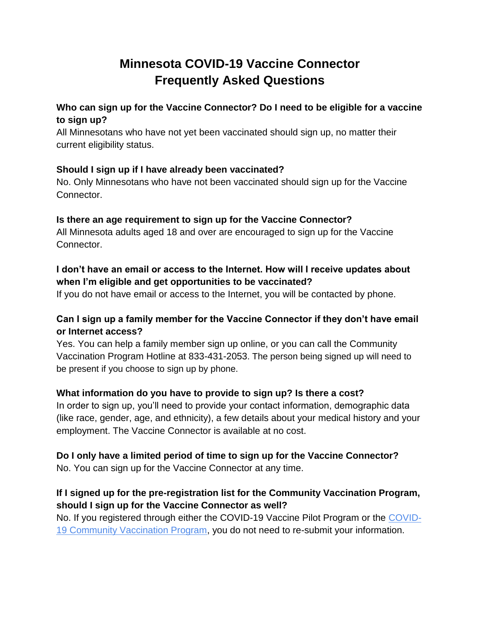# **Minnesota COVID-19 Vaccine Connector Frequently Asked Questions**

### **Who can sign up for the Vaccine Connector? Do I need to be eligible for a vaccine to sign up?**

All Minnesotans who have not yet been vaccinated should sign up, no matter their current eligibility status.

#### **Should I sign up if I have already been vaccinated?**

No. Only Minnesotans who have not been vaccinated should sign up for the Vaccine Connector.

#### **Is there an age requirement to sign up for the Vaccine Connector?**

All Minnesota adults aged 18 and over are encouraged to sign up for the Vaccine Connector.

# **I don't have an email or access to the Internet. How will I receive updates about when I'm eligible and get opportunities to be vaccinated?**

If you do not have email or access to the Internet, you will be contacted by phone.

# **Can I sign up a family member for the Vaccine Connector if they don't have email or Internet access?**

Yes. You can help a family member sign up online, or you can call the Community Vaccination Program Hotline at 833-431-2053. The person being signed up will need to be present if you choose to sign up by phone.

# **What information do you have to provide to sign up? Is there a cost?**

In order to sign up, you'll need to provide your contact information, demographic data (like race, gender, age, and ethnicity), a few details about your medical history and your employment. The Vaccine Connector is available at no cost.

# **Do I only have a limited period of time to sign up for the Vaccine Connector?**

No. You can sign up for the Vaccine Connector at any time.

# **If I signed up for the pre-registration list for the Community Vaccination Program, should I sign up for the Vaccine Connector as well?**

No. If you registered through either the COVID-19 Vaccine Pilot Program or th[e](https://mn.gov/covid19/vaccine/find-vaccine/community-vaccination-program/index.jsphttps:/mn.gov/covid19/vaccine/find-vaccine/community-vaccination-program/index.jsp) [COVID-](https://mn.gov/covid19/vaccine/find-vaccine/community-vaccination-program/index.jsphttps:/mn.gov/covid19/vaccine/find-vaccine/community-vaccination-program/index.jsp)[19 Community Vaccination Program,](https://mn.gov/covid19/vaccine/find-vaccine/community-vaccination-program/index.jsphttps:/mn.gov/covid19/vaccine/find-vaccine/community-vaccination-program/index.jsp) you do not need to re-submit your information.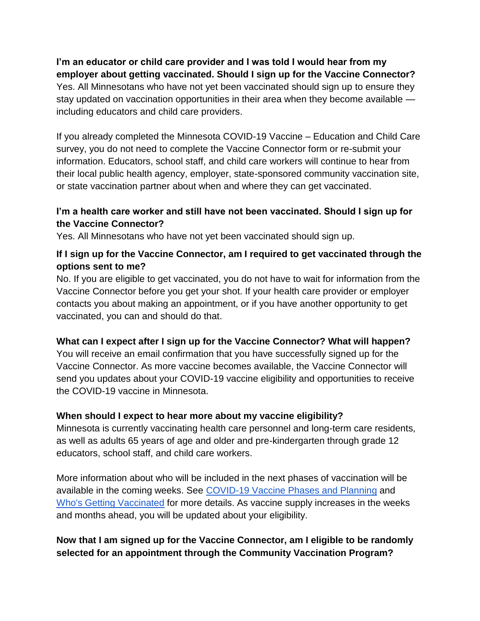**I'm an educator or child care provider and I was told I would hear from my employer about getting vaccinated. Should I sign up for the Vaccine Connector?** Yes. All Minnesotans who have not yet been vaccinated should sign up to ensure they stay updated on vaccination opportunities in their area when they become available including educators and child care providers.

If you already completed the Minnesota COVID-19 Vaccine – Education and Child Care survey, you do not need to complete the Vaccine Connector form or re-submit your information. Educators, school staff, and child care workers will continue to hear from their local public health agency, employer, state-sponsored community vaccination site, or state vaccination partner about when and where they can get vaccinated.

### **I'm a health care worker and still have not been vaccinated. Should I sign up for the Vaccine Connector?**

Yes. All Minnesotans who have not yet been vaccinated should sign up.

#### **If I sign up for the Vaccine Connector, am I required to get vaccinated through the options sent to me?**

No. If you are eligible to get vaccinated, you do not have to wait for information from the Vaccine Connector before you get your shot. If your health care provider or employer contacts you about making an appointment, or if you have another opportunity to get vaccinated, you can and should do that.

#### **What can I expect after I sign up for the Vaccine Connector? What will happen?**

You will receive an email confirmation that you have successfully signed up for the Vaccine Connector. As more vaccine becomes available, the Vaccine Connector will send you updates about your COVID-19 vaccine eligibility and opportunities to receive the COVID-19 vaccine in Minnesota.

#### **When should I expect to hear more about my vaccine eligibility?**

Minnesota is currently vaccinating health care personnel and long-term care residents, as well as adults 65 years of age and older and pre-kindergarten through grade 12 educators, school staff, and child care workers.

More information about who will be included in the next phases of vaccination will be available in the coming weeks. See [COVID-19 Vaccine Phases and Planning](https://www.health.state.mn.us/diseases/coronavirus/vaccine/plan.html#1a) and [Who's Getting Vaccinated](https://mn.gov/covid19/vaccine/whos-getting-vaccinated/index.jsp) for more details. As vaccine supply increases in the weeks and months ahead, you will be updated about your eligibility.

# **Now that I am signed up for the Vaccine Connector, am I eligible to be randomly selected for an appointment through the Community Vaccination Program?**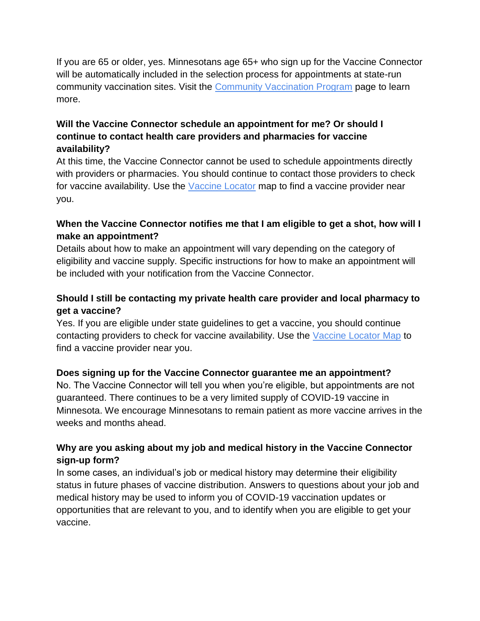If you are 65 or older, yes. Minnesotans age 65+ who sign up for the Vaccine Connector will be automatically included in the selection process for appointments at state-run community vaccination sites. Visit the [Community Vaccination Program](https://mn.gov/covid19/vaccine/find-vaccine/community-vaccination-program/index.jsp) page to learn more.

# **Will the Vaccine Connector schedule an appointment for me? Or should I continue to contact health care providers and pharmacies for vaccine availability?**

At this time, the Vaccine Connector cannot be used to schedule appointments directly with providers or pharmacies. You should continue to contact those providers to check for vaccine availability. Use the [Vaccine Locator](https://mn.gov/covid19/vaccine/find-vaccine/locations/index.jsp) map to find a vaccine provider near you.

# **When the Vaccine Connector notifies me that I am eligible to get a shot, how will I make an appointment?**

Details about how to make an appointment will vary depending on the category of eligibility and vaccine supply. Specific instructions for how to make an appointment will be included with your notification from the Vaccine Connector.

# **Should I still be contacting my private health care provider and local pharmacy to get a vaccine?**

Yes. If you are eligible under state guidelines to get a vaccine, you should continue contacting providers to check for vaccine availability. Use the [Vaccine Locator Map](https://mn.gov/covid19/vaccine/find-vaccine/locations/index.jsp) to find a vaccine provider near you.

# **Does signing up for the Vaccine Connector guarantee me an appointment?**

No. The Vaccine Connector will tell you when you're eligible, but appointments are not guaranteed. There continues to be a very limited supply of COVID-19 vaccine in Minnesota. We encourage Minnesotans to remain patient as more vaccine arrives in the weeks and months ahead.

# **Why are you asking about my job and medical history in the Vaccine Connector sign-up form?**

In some cases, an individual's job or medical history may determine their eligibility status in future phases of vaccine distribution. Answers to questions about your job and medical history may be used to inform you of COVID-19 vaccination updates or opportunities that are relevant to you, and to identify when you are eligible to get your vaccine.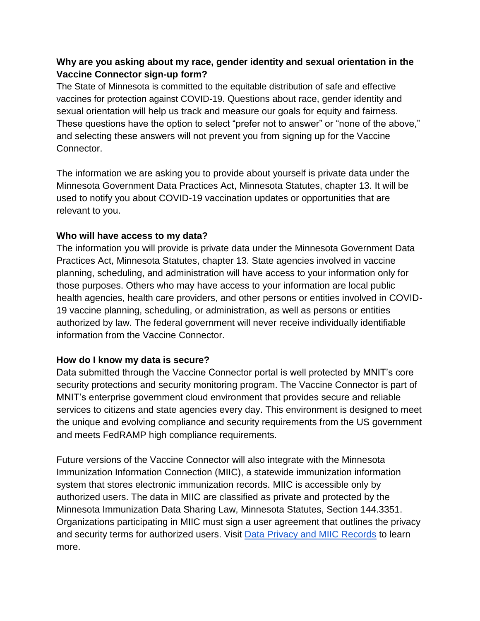#### **Why are you asking about my race, gender identity and sexual orientation in the Vaccine Connector sign-up form?**

The State of Minnesota is committed to the equitable distribution of safe and effective vaccines for protection against COVID-19. Questions about race, gender identity and sexual orientation will help us track and measure our goals for equity and fairness. These questions have the option to select "prefer not to answer" or "none of the above," and selecting these answers will not prevent you from signing up for the Vaccine Connector.

The information we are asking you to provide about yourself is private data under the Minnesota Government Data Practices Act, Minnesota Statutes, chapter 13. It will be used to notify you about COVID-19 vaccination updates or opportunities that are relevant to you.

#### **Who will have access to my data?**

The information you will provide is private data under the Minnesota Government Data Practices Act, Minnesota Statutes, chapter 13. State agencies involved in vaccine planning, scheduling, and administration will have access to your information only for those purposes. Others who may have access to your information are local public health agencies, health care providers, and other persons or entities involved in COVID-19 vaccine planning, scheduling, or administration, as well as persons or entities authorized by law. The federal government will never receive individually identifiable information from the Vaccine Connector.

#### **How do I know my data is secure?**

Data submitted through the Vaccine Connector portal is well protected by MNIT's core security protections and security monitoring program. The Vaccine Connector is part of MNIT's enterprise government cloud environment that provides secure and reliable services to citizens and state agencies every day. This environment is designed to meet the unique and evolving compliance and security requirements from the US government and meets FedRAMP high compliance requirements.

Future versions of the Vaccine Connector will also integrate with the Minnesota Immunization Information Connection (MIIC), a statewide immunization information system that stores electronic immunization records. MIIC is accessible only by authorized users. The data in MIIC are classified as private and protected by the Minnesota Immunization Data Sharing Law, Minnesota Statutes, Section 144.3351. Organizations participating in MIIC must sign a user agreement that outlines the privacy and security terms for authorized users. Visit [Data Privacy and MIIC Records](https://www.health.state.mn.us/people/immunize/miic/privacy/dataprivacy.html) to learn more.